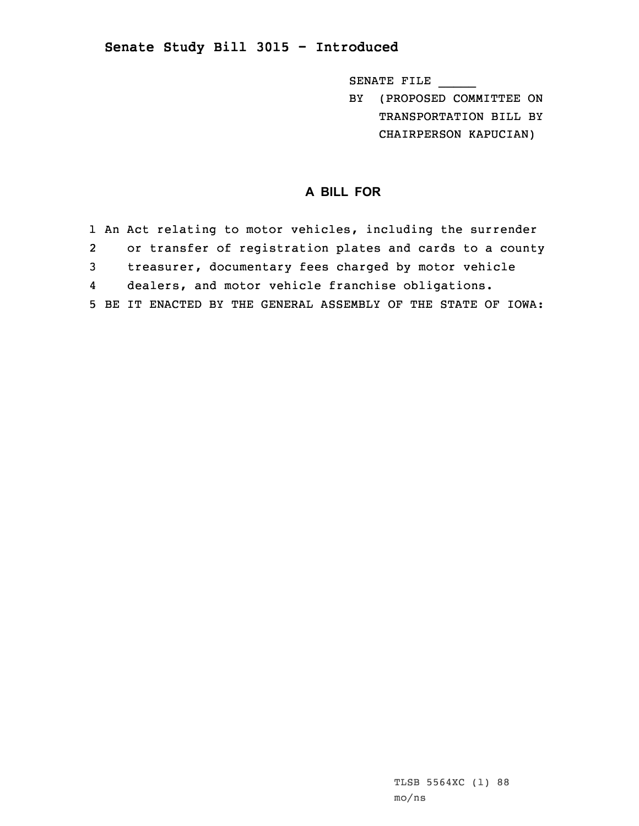## **Senate Study Bill 3015 - Introduced**

SENATE FILE \_\_\_\_\_

BY (PROPOSED COMMITTEE ON TRANSPORTATION BILL BY CHAIRPERSON KAPUCIAN)

## **A BILL FOR**

|                | 1 An Act relating to motor vehicles, including the surrender  |
|----------------|---------------------------------------------------------------|
| 2              | or transfer of registration plates and cards to a county      |
| $\overline{3}$ | treasurer, documentary fees charged by motor vehicle          |
| 4              | dealers, and motor vehicle franchise obligations.             |
|                | 5 BE IT ENACTED BY THE GENERAL ASSEMBLY OF THE STATE OF IOWA: |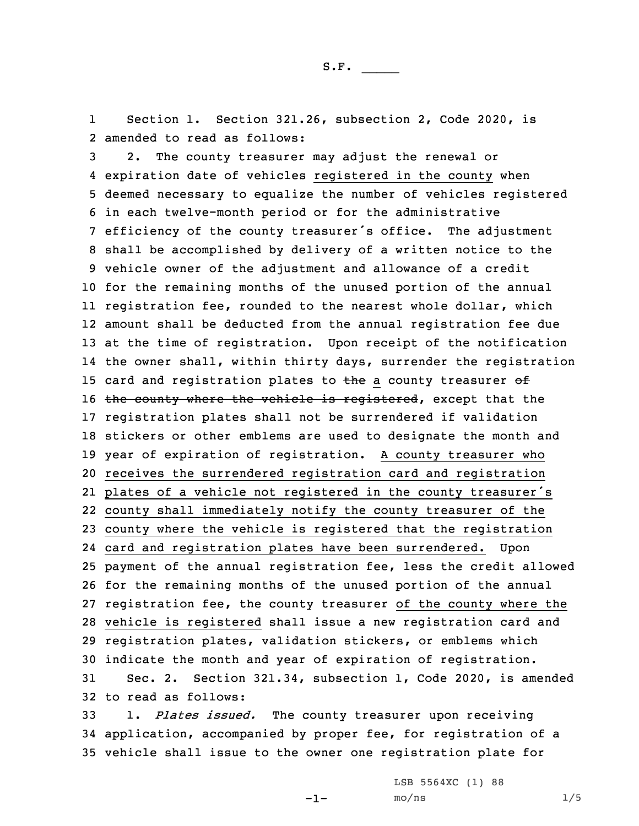1 Section 1. Section 321.26, subsection 2, Code 2020, is 2 amended to read as follows:

 2. The county treasurer may adjust the renewal or expiration date of vehicles registered in the county when deemed necessary to equalize the number of vehicles registered in each twelve-month period or for the administrative efficiency of the county treasurer's office. The adjustment shall be accomplished by delivery of <sup>a</sup> written notice to the vehicle owner of the adjustment and allowance of <sup>a</sup> credit for the remaining months of the unused portion of the annual registration fee, rounded to the nearest whole dollar, which amount shall be deducted from the annual registration fee due at the time of registration. Upon receipt of the notification the owner shall, within thirty days, surrender the registration 15 card and registration plates to the a county treasurer  $ef$ 16 the county where the vehicle is registered, except that the registration plates shall not be surrendered if validation stickers or other emblems are used to designate the month and year of expiration of registration. <sup>A</sup> county treasurer who receives the surrendered registration card and registration plates of <sup>a</sup> vehicle not registered in the county treasurer's county shall immediately notify the county treasurer of the county where the vehicle is registered that the registration card and registration plates have been surrendered. Upon payment of the annual registration fee, less the credit allowed for the remaining months of the unused portion of the annual registration fee, the county treasurer of the county where the vehicle is registered shall issue <sup>a</sup> new registration card and registration plates, validation stickers, or emblems which indicate the month and year of expiration of registration. Sec. 2. Section 321.34, subsection 1, Code 2020, is amended to read as follows:

33 1. *Plates issued.* The county treasurer upon receiving 34 application, accompanied by proper fee, for registration of <sup>a</sup> 35 vehicle shall issue to the owner one registration plate for

 $-1-$ 

LSB 5564XC (1) 88  $mo/ns$  1/5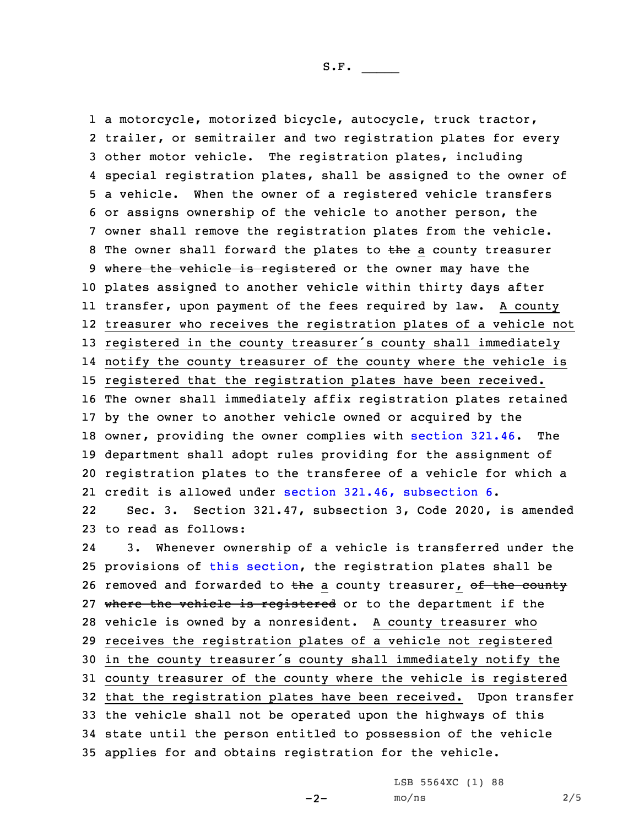<sup>a</sup> motorcycle, motorized bicycle, autocycle, truck tractor, trailer, or semitrailer and two registration plates for every other motor vehicle. The registration plates, including special registration plates, shall be assigned to the owner of <sup>a</sup> vehicle. When the owner of <sup>a</sup> registered vehicle transfers or assigns ownership of the vehicle to another person, the owner shall remove the registration plates from the vehicle. 8 The owner shall forward the plates to the a county treasurer 9 where the vehicle is registered or the owner may have the plates assigned to another vehicle within thirty days after transfer, upon payment of the fees required by law. <sup>A</sup> county treasurer who receives the registration plates of <sup>a</sup> vehicle not registered in the county treasurer's county shall immediately notify the county treasurer of the county where the vehicle is registered that the registration plates have been received. The owner shall immediately affix registration plates retained by the owner to another vehicle owned or acquired by the owner, providing the owner complies with [section](https://www.legis.iowa.gov/docs/code/2020/321.46.pdf) 321.46. The department shall adopt rules providing for the assignment of registration plates to the transferee of <sup>a</sup> vehicle for which <sup>a</sup> credit is allowed under section 321.46, [subsection](https://www.legis.iowa.gov/docs/code/2020/321.46.pdf) 6.

22 Sec. 3. Section 321.47, subsection 3, Code 2020, is amended 23 to read as follows:

24 3. Whenever ownership of <sup>a</sup> vehicle is transferred under the provisions of this [section](https://www.legis.iowa.gov/docs/code/2020/321.47.pdf), the registration plates shall be 26 removed and forwarded to the a county treasurer, of the county 27 where the vehicle is registered or to the department if the vehicle is owned by <sup>a</sup> nonresident. <sup>A</sup> county treasurer who receives the registration plates of <sup>a</sup> vehicle not registered in the county treasurer's county shall immediately notify the county treasurer of the county where the vehicle is registered that the registration plates have been received. Upon transfer the vehicle shall not be operated upon the highways of this state until the person entitled to possession of the vehicle applies for and obtains registration for the vehicle.

 $-2-$ 

LSB 5564XC (1) 88 mo/ns 2/5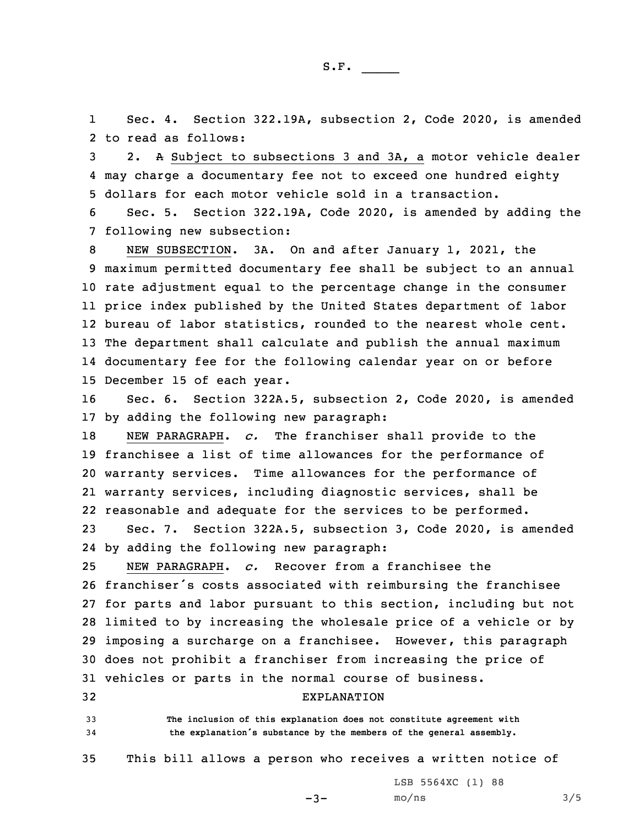1 Sec. 4. Section 322.19A, subsection 2, Code 2020, is amended 2 to read as follows:

3 2. <sup>A</sup> Subject to subsections 3 and 3A, <sup>a</sup> motor vehicle dealer 4 may charge <sup>a</sup> documentary fee not to exceed one hundred eighty 5 dollars for each motor vehicle sold in <sup>a</sup> transaction.

6 Sec. 5. Section 322.19A, Code 2020, is amended by adding the 7 following new subsection:

 NEW SUBSECTION. 3A. On and after January 1, 2021, the maximum permitted documentary fee shall be subject to an annual rate adjustment equal to the percentage change in the consumer price index published by the United States department of labor bureau of labor statistics, rounded to the nearest whole cent. The department shall calculate and publish the annual maximum documentary fee for the following calendar year on or before December 15 of each year.

16 Sec. 6. Section 322A.5, subsection 2, Code 2020, is amended 17 by adding the following new paragraph:

 NEW PARAGRAPH. *c.* The franchiser shall provide to the franchisee <sup>a</sup> list of time allowances for the performance of warranty services. Time allowances for the performance of warranty services, including diagnostic services, shall be reasonable and adequate for the services to be performed.

23 Sec. 7. Section 322A.5, subsection 3, Code 2020, is amended 24 by adding the following new paragraph:

 NEW PARAGRAPH. *c.* Recover from <sup>a</sup> franchisee the franchiser's costs associated with reimbursing the franchisee for parts and labor pursuant to this section, including but not limited to by increasing the wholesale price of <sup>a</sup> vehicle or by imposing <sup>a</sup> surcharge on <sup>a</sup> franchisee. However, this paragraph does not prohibit <sup>a</sup> franchiser from increasing the price of vehicles or parts in the normal course of business.

## 32 EXPLANATION

33 **The inclusion of this explanation does not constitute agreement with** <sup>34</sup> **the explanation's substance by the members of the general assembly.**

35 This bill allows <sup>a</sup> person who receives <sup>a</sup> written notice of

 $-3-$ 

LSB 5564XC (1) 88  $mo/ns$  3/5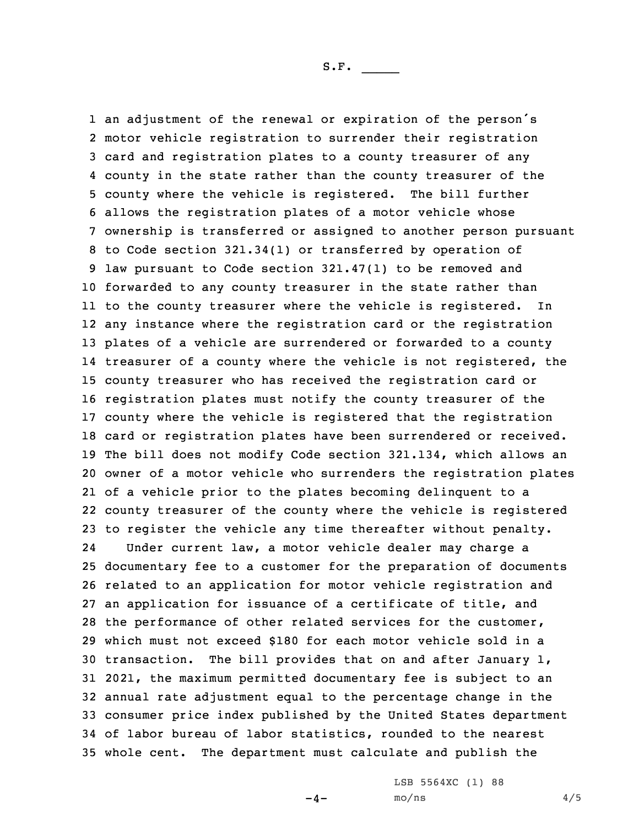an adjustment of the renewal or expiration of the person's motor vehicle registration to surrender their registration card and registration plates to <sup>a</sup> county treasurer of any county in the state rather than the county treasurer of the county where the vehicle is registered. The bill further allows the registration plates of <sup>a</sup> motor vehicle whose ownership is transferred or assigned to another person pursuant to Code section 321.34(1) or transferred by operation of law pursuant to Code section 321.47(1) to be removed and forwarded to any county treasurer in the state rather than to the county treasurer where the vehicle is registered. In any instance where the registration card or the registration plates of <sup>a</sup> vehicle are surrendered or forwarded to <sup>a</sup> county 14 treasurer of a county where the vehicle is not registered, the county treasurer who has received the registration card or registration plates must notify the county treasurer of the county where the vehicle is registered that the registration card or registration plates have been surrendered or received. The bill does not modify Code section 321.134, which allows an owner of <sup>a</sup> motor vehicle who surrenders the registration plates of <sup>a</sup> vehicle prior to the plates becoming delinquent to <sup>a</sup> county treasurer of the county where the vehicle is registered to register the vehicle any time thereafter without penalty. 24 Under current law, <sup>a</sup> motor vehicle dealer may charge <sup>a</sup> documentary fee to <sup>a</sup> customer for the preparation of documents related to an application for motor vehicle registration and an application for issuance of <sup>a</sup> certificate of title, and the performance of other related services for the customer, which must not exceed \$180 for each motor vehicle sold in <sup>a</sup> transaction. The bill provides that on and after January 1, 2021, the maximum permitted documentary fee is subject to an annual rate adjustment equal to the percentage change in the consumer price index published by the United States department of labor bureau of labor statistics, rounded to the nearest whole cent. The department must calculate and publish the

 $-4-$ 

LSB 5564XC (1) 88  $mO/ns$  4/5